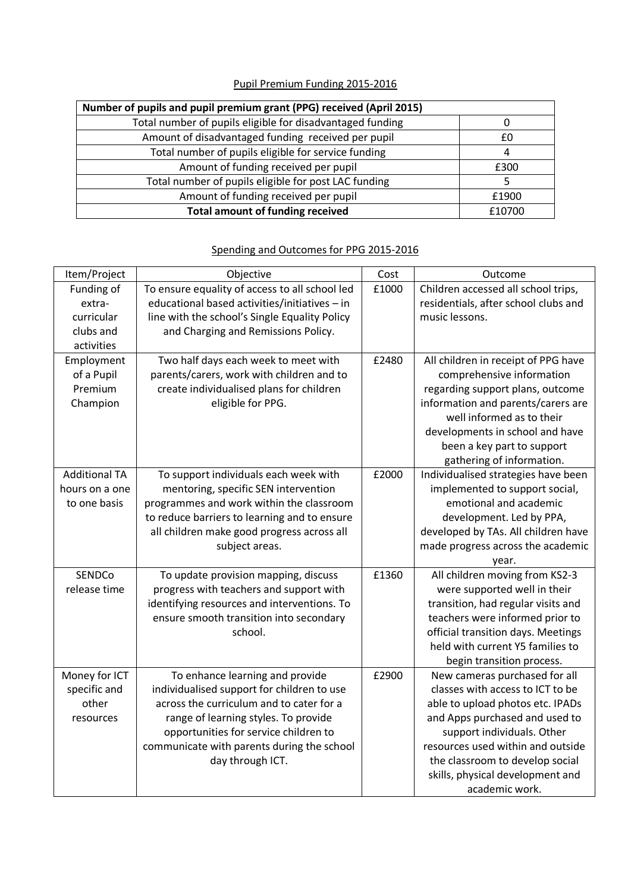|  |  |  |  |  | Pupil Premium Funding 2015-2016 |
|--|--|--|--|--|---------------------------------|
|--|--|--|--|--|---------------------------------|

| Number of pupils and pupil premium grant (PPG) received (April 2015) |        |  |  |  |  |
|----------------------------------------------------------------------|--------|--|--|--|--|
| Total number of pupils eligible for disadvantaged funding            |        |  |  |  |  |
| Amount of disadvantaged funding received per pupil                   | f٥     |  |  |  |  |
| Total number of pupils eligible for service funding                  |        |  |  |  |  |
| Amount of funding received per pupil                                 | £300   |  |  |  |  |
| Total number of pupils eligible for post LAC funding                 |        |  |  |  |  |
| Amount of funding received per pupil                                 | £1900  |  |  |  |  |
| <b>Total amount of funding received</b>                              | £10700 |  |  |  |  |

## Item/Project | Objective Cost | Cost Outcome Funding of extracurricular clubs and activities To ensure equality of access to all school led educational based activities/initiatives – in line with the school's Single Equality Policy and Charging and Remissions Policy.  $£1000$  Children accessed all school trips, residentials, after school clubs and music lessons. Employment of a Pupil Premium Champion Two half days each week to meet with parents/carers, work with children and to create individualised plans for children eligible for PPG. £2480 All children in receipt of PPG have comprehensive information regarding support plans, outcome information and parents/carers are well informed as to their developments in school and have been a key part to support gathering of information. Additional TA hours on a one to one basis To support individuals each week with mentoring, specific SEN intervention programmes and work within the classroom to reduce barriers to learning and to ensure all children make good progress across all subject areas.  $£2000$  | Individualised strategies have been implemented to support social, emotional and academic development. Led by PPA, developed by TAs. All children have made progress across the academic year. **SENDCo** release time To update provision mapping, discuss progress with teachers and support with identifying resources and interventions. To ensure smooth transition into secondary school. £1360 All children moving from KS2-3 were supported well in their transition, had regular visits and teachers were informed prior to official transition days. Meetings held with current Y5 families to begin transition process. Money for ICT specific and other resources To enhance learning and provide individualised support for children to use across the curriculum and to cater for a range of learning styles. To provide opportunities for service children to communicate with parents during the school £2900 New cameras purchased for all classes with access to ICT to be able to upload photos etc. IPADs and Apps purchased and used to support individuals. Other resources used within and outside

the classroom to develop social skills, physical development and academic work.

day through ICT.

## Spending and Outcomes for PPG 2015-2016